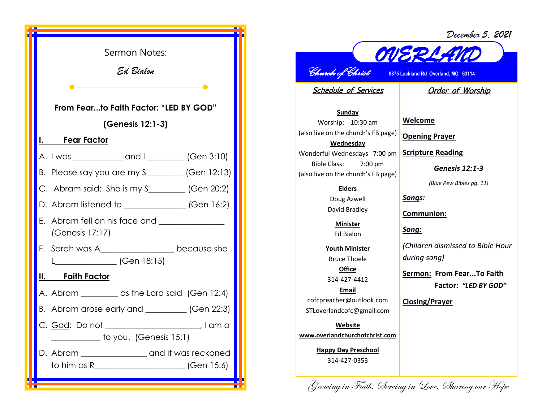*December 5, 2021*



*OVERLAND Church of Christ* **8875 Lackland Rd Overland, MO 63114** 

Schedule of Services

Order of Worship

**Sunday** Worship: 10:30 am (also live on the church's FB page) **Wednesday** Wonderful Wednesdays 7:00 pm **Scripture Reading** Bible Class: 7:00 pm (also live on the church's FB page)

> **Elders** Doug Azwell David Bradley

> > **Minister** Ed Bialon

**Youth Minister** Bruce Thoele **Office**

314-427-4412

**Email** cofcpreacher@outlook.com STLoverlandcofc@gmail.com

**Website www.overlandchurchofchrist.com**

**Happy Day Preschool** 314-427-0353

**Welcome Opening Prayer**

*Genesis 12:1-3*

*(Blue Pew Bibles pg. 11)*

*Songs:*

**Communion:**

*Song:*

*(Children dismissed to Bible Hour during song)*

**Sermon: From Fear...To Faith Factor:** *"LED BY GOD"*

**Closing/Prayer**

Growing in Faith, Serving in Love, Sharing our Hope